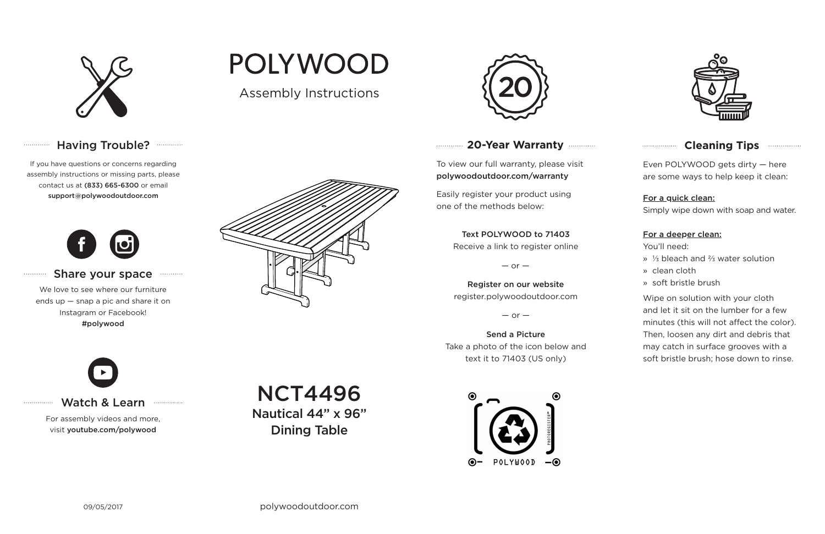

# Having Trouble? ............

## **20-Year Warranty**

To view our full warranty, please visit polywoodoutdoor.com/warranty

Easily register your product using one of the methods below:

Even POLYWOOD gets dirty — here are some ways to help keep it clean:

#### For a quick clean:

Simply wipe down with soap and water.

#### For a deeper clean:

You'll need:

- » ⅓ bleach and ⅔ water solution
- » clean cloth
- » soft bristle brush

Wipe on solution with your cloth and let it sit on the lumber for a few minutes (this will not affect the color). Then, loosen any dirt and debris that may catch in surface grooves with a soft bristle brush; hose down to rinse.

#### Share your space . . . . . . . . . . .

#### Text POLYWOOD to 71403

Receive a link to register online

 $-$  or  $-$ 

Register on our website register.polywoodoutdoor.com

 $-$  or  $-$ 

Send a Picture Take a photo of the icon below and text it to 71403 (US only)





## **Cleaning Tips <b>Cleaning**</u>

### Watch & Learn

For assembly videos and more, visit youtube.com/polywood

If you have questions or concerns regarding assembly instructions or missing parts, please contact us at (833) 665-6300 or email support@polywoodoutdoor.com

. . . . . . . . . . . . .

. . . . . . . . . . .

. . . . . . . . . . . . . . .



We love to see where our furniture ends up — snap a pic and share it on Instagram or Facebook! #polywood



Assembly Instructions





NCT4496

Nautical 44" x 96" Dining Table